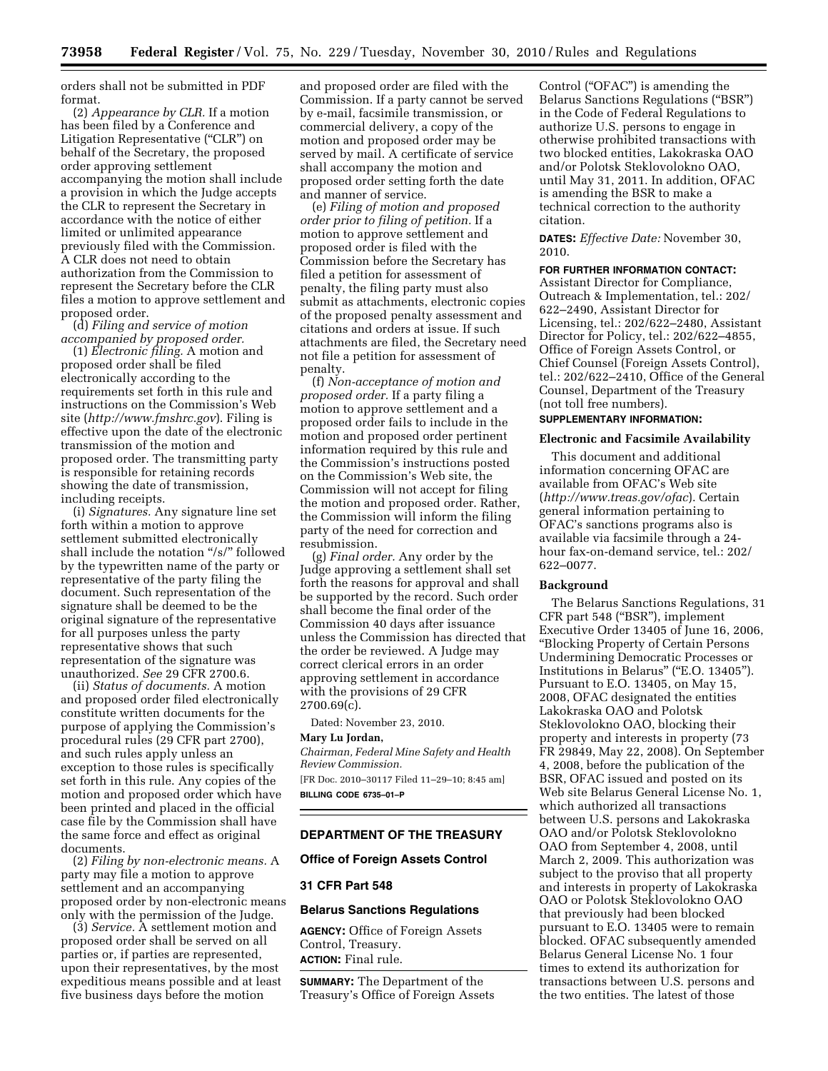orders shall not be submitted in PDF format.

(2) *Appearance by CLR.* If a motion has been filed by a Conference and Litigation Representative ("CLR") on behalf of the Secretary, the proposed order approving settlement accompanying the motion shall include a provision in which the Judge accepts the CLR to represent the Secretary in accordance with the notice of either limited or unlimited appearance previously filed with the Commission. A CLR does not need to obtain authorization from the Commission to represent the Secretary before the CLR files a motion to approve settlement and proposed order.

(d) *Filing and service of motion accompanied by proposed order.* 

(1) *Electronic filing.* A motion and proposed order shall be filed electronically according to the requirements set forth in this rule and instructions on the Commission's Web site (*<http://www.fmshrc.gov>*). Filing is effective upon the date of the electronic transmission of the motion and proposed order. The transmitting party is responsible for retaining records showing the date of transmission, including receipts.

(i) *Signatures.* Any signature line set forth within a motion to approve settlement submitted electronically shall include the notation ''/s/'' followed by the typewritten name of the party or representative of the party filing the document. Such representation of the signature shall be deemed to be the original signature of the representative for all purposes unless the party representative shows that such representation of the signature was unauthorized. *See* 29 CFR 2700.6.

(ii) *Status of documents.* A motion and proposed order filed electronically constitute written documents for the purpose of applying the Commission's procedural rules (29 CFR part 2700), and such rules apply unless an exception to those rules is specifically set forth in this rule. Any copies of the motion and proposed order which have been printed and placed in the official case file by the Commission shall have the same force and effect as original documents.

(2) *Filing by non-electronic means.* A party may file a motion to approve settlement and an accompanying proposed order by non-electronic means only with the permission of the Judge.

(3) *Service.* A settlement motion and proposed order shall be served on all parties or, if parties are represented, upon their representatives, by the most expeditious means possible and at least five business days before the motion

and proposed order are filed with the Commission. If a party cannot be served by e-mail, facsimile transmission, or commercial delivery, a copy of the motion and proposed order may be served by mail. A certificate of service shall accompany the motion and proposed order setting forth the date and manner of service.

(e) *Filing of motion and proposed order prior to filing of petition.* If a motion to approve settlement and proposed order is filed with the Commission before the Secretary has filed a petition for assessment of penalty, the filing party must also submit as attachments, electronic copies of the proposed penalty assessment and citations and orders at issue. If such attachments are filed, the Secretary need not file a petition for assessment of penalty.

(f) *Non-acceptance of motion and proposed order.* If a party filing a motion to approve settlement and a proposed order fails to include in the motion and proposed order pertinent information required by this rule and the Commission's instructions posted on the Commission's Web site, the Commission will not accept for filing the motion and proposed order. Rather, the Commission will inform the filing party of the need for correction and resubmission.

(g) *Final order.* Any order by the Judge approving a settlement shall set forth the reasons for approval and shall be supported by the record. Such order shall become the final order of the Commission 40 days after issuance unless the Commission has directed that the order be reviewed. A Judge may correct clerical errors in an order approving settlement in accordance with the provisions of 29 CFR 2700.69(c).

Dated: November 23, 2010.

#### **Mary Lu Jordan,**

*Chairman, Federal Mine Safety and Health Review Commission.*  [FR Doc. 2010–30117 Filed 11–29–10; 8:45 am] **BILLING CODE 6735–01–P** 

# **DEPARTMENT OF THE TREASURY**

### **Office of Foreign Assets Control**

# **31 CFR Part 548**

## **Belarus Sanctions Regulations**

**AGENCY:** Office of Foreign Assets Control, Treasury. **ACTION:** Final rule.

**SUMMARY:** The Department of the Treasury's Office of Foreign Assets Control ("OFAC") is amending the Belarus Sanctions Regulations (''BSR'') in the Code of Federal Regulations to authorize U.S. persons to engage in otherwise prohibited transactions with two blocked entities, Lakokraska OAO and/or Polotsk Steklovolokno OAO, until May 31, 2011. In addition, OFAC is amending the BSR to make a technical correction to the authority citation.

**DATES:** *Effective Date:* November 30, 2010.

### **FOR FURTHER INFORMATION CONTACT:**

Assistant Director for Compliance, Outreach & Implementation, tel.: 202/ 622–2490, Assistant Director for Licensing, tel.: 202/622–2480, Assistant Director for Policy, tel.: 202/622–4855, Office of Foreign Assets Control, or Chief Counsel (Foreign Assets Control), tel.: 202/622–2410, Office of the General Counsel, Department of the Treasury (not toll free numbers).

# **SUPPLEMENTARY INFORMATION:**

# **Electronic and Facsimile Availability**

This document and additional information concerning OFAC are available from OFAC's Web site (*<http://www.treas.gov/ofac>*). Certain general information pertaining to OFAC's sanctions programs also is available via facsimile through a 24 hour fax-on-demand service, tel.: 202/ 622–0077.

# **Background**

The Belarus Sanctions Regulations, 31 CFR part 548 (''BSR''), implement Executive Order 13405 of June 16, 2006, ''Blocking Property of Certain Persons Undermining Democratic Processes or Institutions in Belarus" ("E.O. 13405"). Pursuant to E.O. 13405, on May 15, 2008, OFAC designated the entities Lakokraska OAO and Polotsk Steklovolokno OAO, blocking their property and interests in property (73 FR 29849, May 22, 2008). On September 4, 2008, before the publication of the BSR, OFAC issued and posted on its Web site Belarus General License No. 1, which authorized all transactions between U.S. persons and Lakokraska OAO and/or Polotsk Steklovolokno OAO from September 4, 2008, until March 2, 2009. This authorization was subject to the proviso that all property and interests in property of Lakokraska OAO or Polotsk Steklovolokno OAO that previously had been blocked pursuant to E.O. 13405 were to remain blocked. OFAC subsequently amended Belarus General License No. 1 four times to extend its authorization for transactions between U.S. persons and the two entities. The latest of those